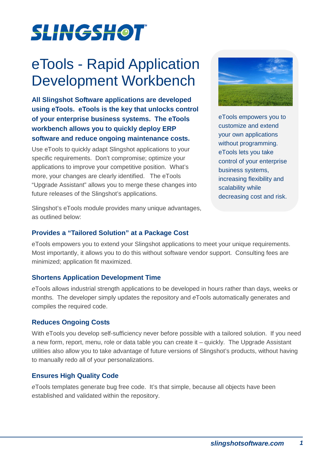# **SLINGSHOT**

# eTools - Rapid Application Development Workbench

**All Slingshot Software applications are developed using eTools. eTools is the key that unlocks control of your enterprise business systems. The eTools workbench allows you to quickly deploy ERP software and reduce ongoing maintenance costs.** 

Use eTools to quickly adapt Slingshot applications to your specific requirements. Don't compromise; optimize your applications to improve your competitive position. What's more, your changes are clearly identified. The eTools "Upgrade Assistant" allows you to merge these changes into future releases of the Slingshot's applications.



eTools empowers you to customize and extend your own applications without programming. eTools lets you take control of your enterprise business systems, increasing flexibility and scalability while decreasing cost and risk.

Slingshot's eTools module provides many unique advantages, as outlined below:

# **Provides a "Tailored Solution" at a Package Cost**

eTools empowers you to extend your Slingshot applications to meet your unique requirements. Most importantly, it allows you to do this without software vendor support. Consulting fees are minimized; application fit maximized.

# **Shortens Application Development Time**

eTools allows industrial strength applications to be developed in hours rather than days, weeks or months. The developer simply updates the repository and eTools automatically generates and compiles the required code.

#### **Reduces Ongoing Costs**

With eTools you develop self-sufficiency never before possible with a tailored solution. If you need a new form, report, menu, role or data table you can create it – quickly. The Upgrade Assistant utilities also allow you to take advantage of future versions of Slingshot's products, without having to manually redo all of your personalizations.

# **Ensures High Quality Code**

eTools templates generate bug free code. It's that simple, because all objects have been established and validated within the repository.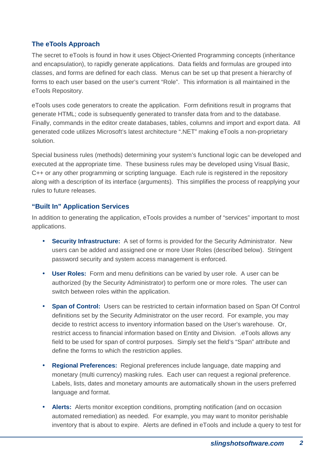### **The eTools Approach**

The secret to eTools is found in how it uses Object-Oriented Programming concepts (inheritance and encapsulation), to rapidly generate applications. Data fields and formulas are grouped into classes, and forms are defined for each class. Menus can be set up that present a hierarchy of forms to each user based on the user's current "Role". This information is all maintained in the eTools Repository.

eTools uses code generators to create the application. Form definitions result in programs that generate HTML; code is subsequently generated to transfer data from and to the database. Finally, commands in the editor create databases, tables, columns and import and export data. All generated code utilizes Microsoft's latest architecture ".NET" making eTools a non-proprietary solution.

Special business rules (methods) determining your system's functional logic can be developed and executed at the appropriate time. These business rules may be developed using Visual Basic, C++ or any other programming or scripting language. Each rule is registered in the repository along with a description of its interface (arguments). This simplifies the process of reapplying your rules to future releases.

#### **"Built In" Application Services**

In addition to generating the application, eTools provides a number of "services" important to most applications.

- **Security Infrastructure:** A set of forms is provided for the Security Administrator. New users can be added and assigned one or more User Roles (described below). Stringent password security and system access management is enforced.
- **User Roles:** Form and menu definitions can be varied by user role. A user can be authorized (by the Security Administrator) to perform one or more roles. The user can switch between roles within the application.
- **Span of Control:** Users can be restricted to certain information based on Span Of Control definitions set by the Security Administrator on the user record. For example, you may decide to restrict access to inventory information based on the User's warehouse. Or, restrict access to financial information based on Entity and Division. .eTools allows any field to be used for span of control purposes. Simply set the field's "Span" attribute and define the forms to which the restriction applies.
- **Regional Preferences:** Regional preferences include language, date mapping and monetary (multi currency) masking rules. Each user can request a regional preference. Labels, lists, dates and monetary amounts are automatically shown in the users preferred language and format.
- **Alerts:** Alerts monitor exception conditions, prompting notification (and on occasion automated remediation) as needed. For example, you may want to monitor perishable inventory that is about to expire. Alerts are defined in eTools and include a query to test for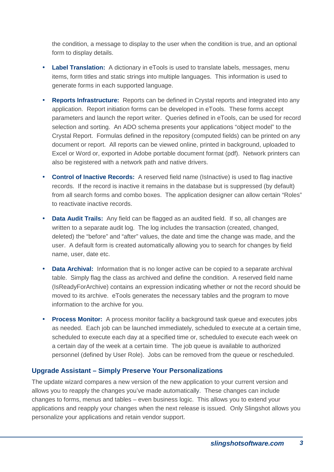the condition, a message to display to the user when the condition is true, and an optional form to display details.

- **Label Translation:** A dictionary in eTools is used to translate labels, messages, menu items, form titles and static strings into multiple languages. This information is used to generate forms in each supported language.
- **Reports Infrastructure:** Reports can be defined in Crystal reports and integrated into any application. Report initiation forms can be developed in eTools. These forms accept parameters and launch the report writer. Queries defined in eTools, can be used for record selection and sorting. An ADO schema presents your applications "object model" to the Crystal Report. Formulas defined in the repository (computed fields) can be printed on any document or report. All reports can be viewed online, printed in background, uploaded to Excel or Word or, exported in Adobe portable document format (pdf). Network printers can also be registered with a network path and native drivers.
- **Control of Inactive Records:** A reserved field name (IsInactive) is used to flag inactive records. If the record is inactive it remains in the database but is suppressed (by default) from all search forms and combo boxes. The application designer can allow certain "Roles" to reactivate inactive records.
- **Data Audit Trails:** Any field can be flagged as an audited field. If so, all changes are written to a separate audit log. The log includes the transaction (created, changed, deleted) the "before" and "after" values, the date and time the change was made, and the user. A default form is created automatically allowing you to search for changes by field name, user, date etc.
- **Data Archival:** Information that is no longer active can be copied to a separate archival table. Simply flag the class as archived and define the condition. A reserved field name (IsReadyForArchive) contains an expression indicating whether or not the record should be moved to its archive. eTools generates the necessary tables and the program to move information to the archive for you.
- **Process Monitor:** A process monitor facility a background task queue and executes jobs as needed. Each job can be launched immediately, scheduled to execute at a certain time, scheduled to execute each day at a specified time or, scheduled to execute each week on a certain day of the week at a certain time. The job queue is available to authorized personnel (defined by User Role). Jobs can be removed from the queue or rescheduled.

#### **Upgrade Assistant – Simply Preserve Your Personalizations**

The update wizard compares a new version of the new application to your current version and allows you to reapply the changes you've made automatically. These changes can include changes to forms, menus and tables – even business logic. This allows you to extend your applications and reapply your changes when the next release is issued. Only Slingshot allows you personalize your applications and retain vendor support.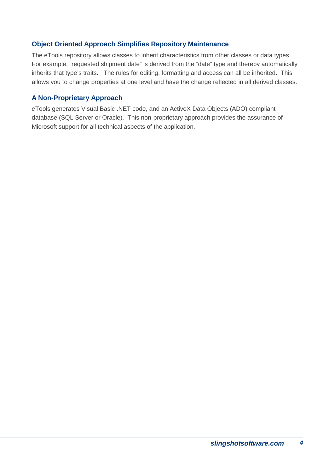### **Object Oriented Approach Simplifies Repository Maintenance**

The eTools repository allows classes to inherit characteristics from other classes or data types. For example, "requested shipment date" is derived from the "date" type and thereby automatically inherits that type's traits. The rules for editing, formatting and access can all be inherited. This allows you to change properties at one level and have the change reflected in all derived classes.

### **A Non-Proprietary Approach**

eTools generates Visual Basic .NET code, and an ActiveX Data Objects (ADO) compliant database (SQL Server or Oracle). This non-proprietary approach provides the assurance of Microsoft support for all technical aspects of the application.